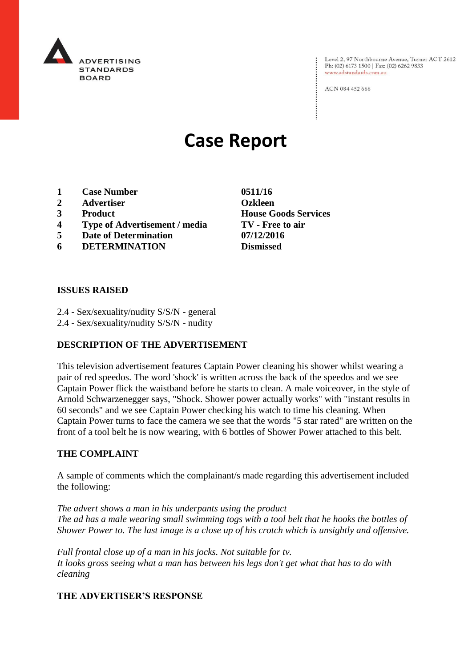

Level 2, 97 Northbourne Avenue, Turner ACT 2612<br>Ph: (02) 6173 1500 | Fax: (02) 6262 9833 www.adstandards.com.au

ACN 084 452 666

# **Case Report**

- **1 Case Number 0511/16**
- **2 Advertiser Ozkleen**
- 
- **4 Type of Advertisement / media TV - Free to air**
- **5 Date of Determination 07/12/2016**
- **6 DETERMINATION Dismissed**

**3 Product House Goods Services**

## **ISSUES RAISED**

- 2.4 Sex/sexuality/nudity S/S/N general
- 2.4 Sex/sexuality/nudity S/S/N nudity

## **DESCRIPTION OF THE ADVERTISEMENT**

This television advertisement features Captain Power cleaning his shower whilst wearing a pair of red speedos. The word 'shock' is written across the back of the speedos and we see Captain Power flick the waistband before he starts to clean. A male voiceover, in the style of Arnold Schwarzenegger says, "Shock. Shower power actually works" with "instant results in 60 seconds" and we see Captain Power checking his watch to time his cleaning. When Captain Power turns to face the camera we see that the words "5 star rated" are written on the front of a tool belt he is now wearing, with 6 bottles of Shower Power attached to this belt.

## **THE COMPLAINT**

A sample of comments which the complainant/s made regarding this advertisement included the following:

*The advert shows a man in his underpants using the product The ad has a male wearing small swimming togs with a tool belt that he hooks the bottles of Shower Power to. The last image is a close up of his crotch which is unsightly and offensive.*

*Full frontal close up of a man in his jocks. Not suitable for tv. It looks gross seeing what a man has between his legs don't get what that has to do with cleaning*

## **THE ADVERTISER'S RESPONSE**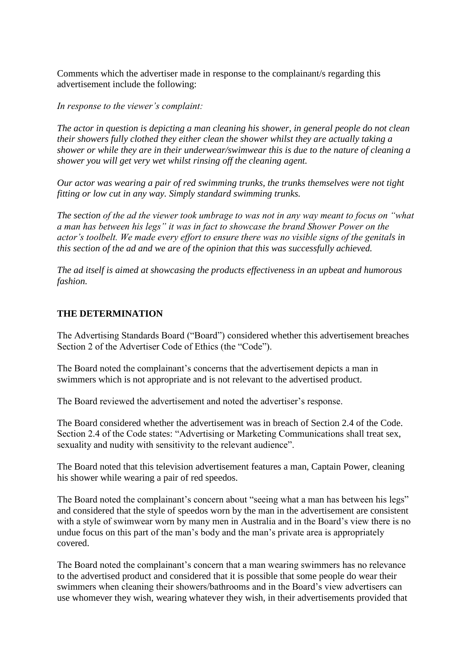Comments which the advertiser made in response to the complainant/s regarding this advertisement include the following:

*In response to the viewer's complaint:*

*The actor in question is depicting a man cleaning his shower, in general people do not clean their showers fully clothed they either clean the shower whilst they are actually taking a shower or while they are in their underwear/swimwear this is due to the nature of cleaning a shower you will get very wet whilst rinsing off the cleaning agent.*

*Our actor was wearing a pair of red swimming trunks, the trunks themselves were not tight fitting or low cut in any way. Simply standard swimming trunks.*

*The section of the ad the viewer took umbrage to was not in any way meant to focus on "what a man has between his legs" it was in fact to showcase the brand Shower Power on the actor's toolbelt. We made every effort to ensure there was no visible signs of the genitals in this section of the ad and we are of the opinion that this was successfully achieved.*

*The ad itself is aimed at showcasing the products effectiveness in an upbeat and humorous fashion.*

## **THE DETERMINATION**

The Advertising Standards Board ("Board") considered whether this advertisement breaches Section 2 of the Advertiser Code of Ethics (the "Code").

The Board noted the complainant's concerns that the advertisement depicts a man in swimmers which is not appropriate and is not relevant to the advertised product.

The Board reviewed the advertisement and noted the advertiser's response.

The Board considered whether the advertisement was in breach of Section 2.4 of the Code. Section 2.4 of the Code states: "Advertising or Marketing Communications shall treat sex, sexuality and nudity with sensitivity to the relevant audience".

The Board noted that this television advertisement features a man, Captain Power, cleaning his shower while wearing a pair of red speedos.

The Board noted the complainant's concern about "seeing what a man has between his legs" and considered that the style of speedos worn by the man in the advertisement are consistent with a style of swimwear worn by many men in Australia and in the Board's view there is no undue focus on this part of the man's body and the man's private area is appropriately covered.

The Board noted the complainant's concern that a man wearing swimmers has no relevance to the advertised product and considered that it is possible that some people do wear their swimmers when cleaning their showers/bathrooms and in the Board's view advertisers can use whomever they wish, wearing whatever they wish, in their advertisements provided that